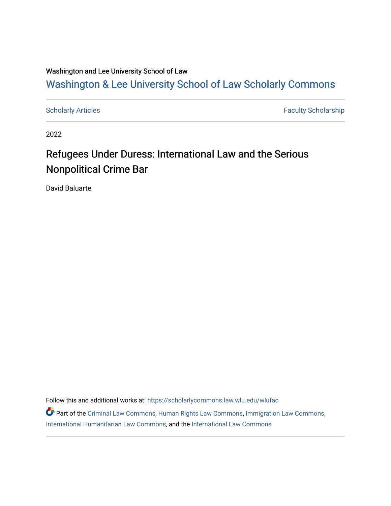### Washington and Lee University School of Law

## [Washington & Lee University School of Law Scholarly Commons](https://scholarlycommons.law.wlu.edu/)

[Scholarly Articles](https://scholarlycommons.law.wlu.edu/wlufac) **Faculty Scholarship** Faculty Scholarship

2022

# Refugees Under Duress: International Law and the Serious Nonpolitical Crime Bar

David Baluarte

Follow this and additional works at: [https://scholarlycommons.law.wlu.edu/wlufac](https://scholarlycommons.law.wlu.edu/wlufac?utm_source=scholarlycommons.law.wlu.edu%2Fwlufac%2F713&utm_medium=PDF&utm_campaign=PDFCoverPages)

Part of the [Criminal Law Commons,](https://network.bepress.com/hgg/discipline/912?utm_source=scholarlycommons.law.wlu.edu%2Fwlufac%2F713&utm_medium=PDF&utm_campaign=PDFCoverPages) [Human Rights Law Commons](https://network.bepress.com/hgg/discipline/847?utm_source=scholarlycommons.law.wlu.edu%2Fwlufac%2F713&utm_medium=PDF&utm_campaign=PDFCoverPages), [Immigration Law Commons](https://network.bepress.com/hgg/discipline/604?utm_source=scholarlycommons.law.wlu.edu%2Fwlufac%2F713&utm_medium=PDF&utm_campaign=PDFCoverPages), [International Humanitarian Law Commons](https://network.bepress.com/hgg/discipline/1330?utm_source=scholarlycommons.law.wlu.edu%2Fwlufac%2F713&utm_medium=PDF&utm_campaign=PDFCoverPages), and the [International Law Commons](https://network.bepress.com/hgg/discipline/609?utm_source=scholarlycommons.law.wlu.edu%2Fwlufac%2F713&utm_medium=PDF&utm_campaign=PDFCoverPages)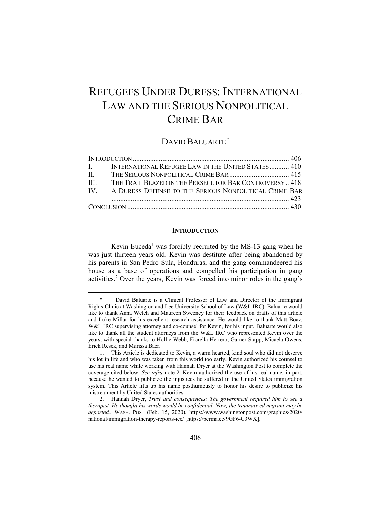## REFUGEES UNDER DURESS: INTERNATIONAL LAW AND THE SERIOUS NONPOLITICAL CRIME BAR

### DAVID BALUARTE*\**

|  | I. INTERNATIONAL REFUGEE LAW IN THE UNITED STATES 410       |  |
|--|-------------------------------------------------------------|--|
|  |                                                             |  |
|  | III. THE TRAIL BLAZED IN THE PERSECUTOR BAR CONTROVERSY 418 |  |
|  | IV. A DURESS DEFENSE TO THE SERIOUS NONPOLITICAL CRIME BAR  |  |
|  |                                                             |  |
|  |                                                             |  |

#### **INTRODUCTION**

Kevin Euceda<sup>1</sup> was forcibly recruited by the MS-13 gang when he was just thirteen years old. Kevin was destitute after being abandoned by his parents in San Pedro Sula, Honduras, and the gang commandeered his house as a base of operations and compelled his participation in gang activities.2 Over the years, Kevin was forced into minor roles in the gang's

David Baluarte is a Clinical Professor of Law and Director of the Immigrant Rights Clinic at Washington and Lee University School of Law (W&L IRC). Baluarte would like to thank Anna Welch and Maureen Sweeney for their feedback on drafts of this article and Luke Millar for his excellent research assistance. He would like to thank Matt Boaz, W&L IRC supervising attorney and co-counsel for Kevin, for his input. Baluarte would also like to thank all the student attorneys from the W&L IRC who represented Kevin over the years, with special thanks to Hollie Webb, Fiorella Herrera, Garner Stapp, Micaela Owens, Erick Resek, and Marissa Baer.

<sup>1.</sup> This Article is dedicated to Kevin, a warm hearted, kind soul who did not deserve his lot in life and who was taken from this world too early. Kevin authorized his counsel to use his real name while working with Hannah Dryer at the Washington Post to complete the coverage cited below. *See infra* note 2. Kevin authorized the use of his real name, in part, because he wanted to publicize the injustices he suffered in the United States immigration system. This Article lifts up his name posthumously to honor his desire to publicize his mistreatment by United States authorities.

<sup>2.</sup> Hannah Dryer, *Trust and consequences: The government required him to see a therapist. He thought his words would be confidential. Now, the traumatized migrant may be deported.*, WASH. POST (Feb. 15, 2020), https://www.washingtonpost.com/graphics/2020/ national/immigration-therapy-reports-ice/ [https://perma.cc/9GF6-C3WX].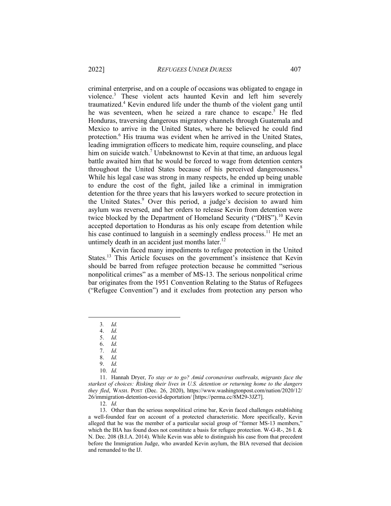criminal enterprise, and on a couple of occasions was obligated to engage in violence.<sup>3</sup> These violent acts haunted Kevin and left him severely traumatized.<sup>4</sup> Kevin endured life under the thumb of the violent gang until he was seventeen, when he seized a rare chance to escape.<sup>5</sup> He fled Honduras, traversing dangerous migratory channels through Guatemala and Mexico to arrive in the United States, where he believed he could find protection.6 His trauma was evident when he arrived in the United States, leading immigration officers to medicate him, require counseling, and place him on suicide watch.<sup>7</sup> Unbeknownst to Kevin at that time, an arduous legal battle awaited him that he would be forced to wage from detention centers throughout the United States because of his perceived dangerousness.<sup>8</sup> While his legal case was strong in many respects, he ended up being unable to endure the cost of the fight, jailed like a criminal in immigration detention for the three years that his lawyers worked to secure protection in the United States.<sup>9</sup> Over this period, a judge's decision to award him asylum was reversed, and her orders to release Kevin from detention were twice blocked by the Department of Homeland Security ("DHS").<sup>10</sup> Kevin accepted deportation to Honduras as his only escape from detention while his case continued to languish in a seemingly endless process.<sup>11</sup> He met an untimely death in an accident just months later. $12$ 

Kevin faced many impediments to refugee protection in the United States.<sup>13</sup> This Article focuses on the government's insistence that Kevin should be barred from refugee protection because he committed "serious nonpolitical crimes" as a member of MS-13. The serious nonpolitical crime bar originates from the 1951 Convention Relating to the Status of Refugees ("Refugee Convention") and it excludes from protection any person who

7. *Id.*

12. *Id.* 

13. Other than the serious nonpolitical crime bar, Kevin faced challenges establishing a well-founded fear on account of a protected characteristic. More specifically, Kevin alleged that he was the member of a particular social group of "former MS-13 members," which the BIA has found does not constitute a basis for refugee protection. W-G-R-, 26 I. & N. Dec. 208 (B.I.A. 2014). While Kevin was able to distinguish his case from that precedent before the Immigration Judge, who awarded Kevin asylum, the BIA reversed that decision and remanded to the IJ.

<sup>3</sup>*. Id.*

<sup>4.</sup> *Id.*

<sup>5.</sup> *Id.*

<sup>6.</sup> *Id.*

<sup>8.</sup> *Id.*

<sup>9.</sup> *Id.*

<sup>10.</sup> *Id.*

<sup>11.</sup> Hannah Dryer, *To stay or to go? Amid coronavirus outbreaks, migrants face the starkest of choices: Risking their lives in U.S. detention or returning home to the dangers they fled*, WASH. POST (Dec. 26, 2020), https://www.washingtonpost.com/nation/2020/12/ 26/immigration-detention-covid-deportation/ [https://perma.cc/8M29-3JZ7].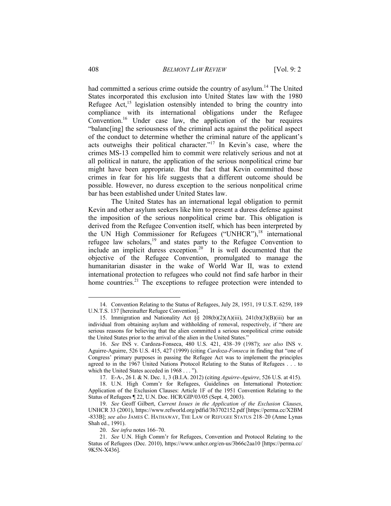#### 408 *BELMONT LAW REVIEW* [Vol. 9: 2

had committed a serious crime outside the country of asylum.<sup>14</sup> The United States incorporated this exclusion into United States law with the 1980 Refugee Act, $^{15}$  legislation ostensibly intended to bring the country into compliance with its international obligations under the Refugee Convention.16 Under case law, the application of the bar requires "balanc[ing] the seriousness of the criminal acts against the political aspect of the conduct to determine whether the criminal nature of the applicant's acts outweighs their political character."17 In Kevin's case, where the crimes MS-13 compelled him to commit were relatively serious and not at all political in nature, the application of the serious nonpolitical crime bar might have been appropriate. But the fact that Kevin committed those crimes in fear for his life suggests that a different outcome should be possible. However, no duress exception to the serious nonpolitical crime bar has been established under United States law.

The United States has an international legal obligation to permit Kevin and other asylum seekers like him to present a duress defense against the imposition of the serious nonpolitical crime bar. This obligation is derived from the Refugee Convention itself, which has been interpreted by the UN High Commissioner for Refugees ("UNHCR"), $^{18}$  international refugee law scholars,<sup>19</sup> and states party to the Refugee Convention to include an implicit duress exception.<sup>20</sup> It is well documented that the objective of the Refugee Convention, promulgated to manage the humanitarian disaster in the wake of World War II, was to extend international protection to refugees who could not find safe harbor in their home countries.<sup>21</sup> The exceptions to refugee protection were intended to

<sup>14.</sup> Convention Relating to the Status of Refugees, July 28, 1951, 19 U.S.T. 6259, 189 U.N.T.S. 137 [hereinafter Refugee Convention].

<sup>15.</sup> Immigration and Nationality Act §§ 208(b)(2)(A)(iii), 241(b)(3)(B)(iii) bar an individual from obtaining asylum and withholding of removal, respectively, if "there are serious reasons for believing that the alien committed a serious nonpolitical crime outside the United States prior to the arrival of the alien in the United States."

<sup>16.</sup> *See* INS v. Cardoza-Fonseca, 480 U.S. 421, 438–39 (1987); *see also* INS v. Aguirre-Aguirre, 526 U.S. 415, 427 (1999) (citing *Cardoza-Fonseca* in finding that "one of Congress' primary purposes in passing the Refugee Act was to implement the principles agreed to in the 1967 United Nations Protocol Relating to the Status of Refugees . . . to which the United States acceded in 1968 . . . ").

<sup>17.</sup> E-A-, 26 I. & N. Dec. 1, 3 (B.I.A. 2012) (citing *Aguirre-Aguirre*, 526 U.S. at 415).

<sup>18.</sup> U.N. High Comm'r for Refugees, Guidelines on International Protection: Application of the Exclusion Clauses: Article 1F of the 1951 Convention Relating to the Status of Refugees ¶ 22, U.N. Doc. HCR/GIP/03/05 (Sept. 4, 2003).

<sup>19.</sup> *See* Geoff Gilbert, *Current Issues in the Application of the Exclusion Clauses*, UNHCR 33 (2001), https://www.refworld.org/pdfid/3b3702152.pdf [https://perma.cc/X2BM -833B]; *see also* JAMES C. HATHAWAY, THE LAW OF REFUGEE STATUS 218–20 (Anne Lynas Shah ed., 1991).

<sup>20.</sup> *See infra* notes 166–70.

<sup>21.</sup> *See* U.N. High Comm'r for Refugees, Convention and Protocol Relating to the Status of Refugees (Dec. 2010), https://www.unhcr.org/en-us/3b66c2aa10 [https://perma.cc/ 9K5N-X436].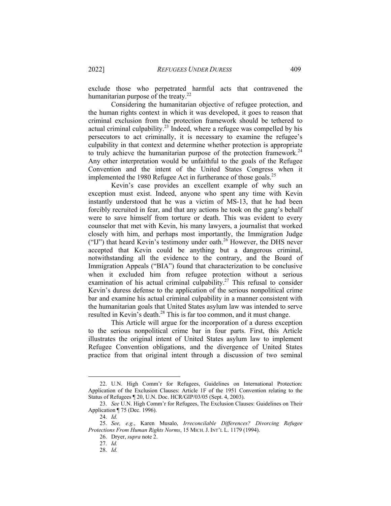exclude those who perpetrated harmful acts that contravened the humanitarian purpose of the treaty. $2^2$ 

Considering the humanitarian objective of refugee protection, and the human rights context in which it was developed, it goes to reason that criminal exclusion from the protection framework should be tethered to actual criminal culpability.<sup>23</sup> Indeed, where a refugee was compelled by his persecutors to act criminally, it is necessary to examine the refugee's culpability in that context and determine whether protection is appropriate to truly achieve the humanitarian purpose of the protection framework.<sup>24</sup> Any other interpretation would be unfaithful to the goals of the Refugee Convention and the intent of the United States Congress when it implemented the 1980 Refugee Act in furtherance of those goals.<sup>25</sup>

Kevin's case provides an excellent example of why such an exception must exist. Indeed, anyone who spent any time with Kevin instantly understood that he was a victim of MS-13, that he had been forcibly recruited in fear, and that any actions he took on the gang's behalf were to save himself from torture or death. This was evident to every counselor that met with Kevin, his many lawyers, a journalist that worked closely with him, and perhaps most importantly, the Immigration Judge ("IJ") that heard Kevin's testimony under oath.<sup>26</sup> However, the DHS never accepted that Kevin could be anything but a dangerous criminal, notwithstanding all the evidence to the contrary, and the Board of Immigration Appeals ("BIA") found that characterization to be conclusive when it excluded him from refugee protection without a serious examination of his actual criminal culpability.<sup>27</sup> This refusal to consider Kevin's duress defense to the application of the serious nonpolitical crime bar and examine his actual criminal culpability in a manner consistent with the humanitarian goals that United States asylum law was intended to serve resulted in Kevin's death.<sup>28</sup> This is far too common, and it must change.

This Article will argue for the incorporation of a duress exception to the serious nonpolitical crime bar in four parts. First, this Article illustrates the original intent of United States asylum law to implement Refugee Convention obligations, and the divergence of United States practice from that original intent through a discussion of two seminal

<sup>22.</sup> U.N. High Comm'r for Refugees, Guidelines on International Protection: Application of the Exclusion Clauses: Article 1F of the 1951 Convention relating to the Status of Refugees ¶ 20, U.N. Doc. HCR/GIP/03/05 (Sept. 4, 2003).

<sup>23.</sup> *See* U.N. High Comm'r for Refugees, The Exclusion Clauses: Guidelines on Their Application ¶ 75 (Dec. 1996).

<sup>24.</sup> *Id.*

<sup>25.</sup> *See, e.g.*, Karen Musalo, *Irreconcilable Differences? Divorcing Refugee Protections From Human Rights Norms*, 15 MICH.J. INT'L L. 1179 (1994).

<sup>26.</sup> Dryer, *supra* note 2.

<sup>27.</sup> *Id.* 

<sup>28.</sup> *Id.*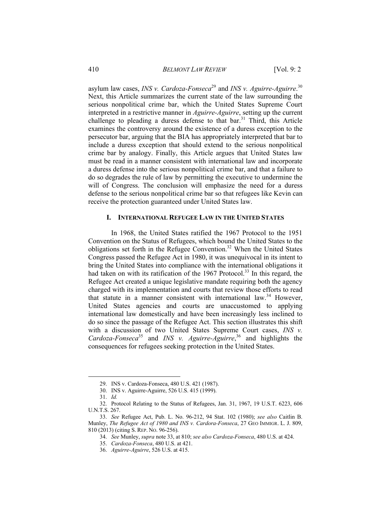#### 410 *BELMONT LAW REVIEW* [Vol. 9: 2

asylum law cases, *INS v. Cardoza-Fonseca*<sup>29</sup> and *INS v. Aguirre-Aguirre*.<sup>30</sup> Next, this Article summarizes the current state of the law surrounding the serious nonpolitical crime bar, which the United States Supreme Court interpreted in a restrictive manner in *Aguirre-Aguirre*, setting up the current challenge to pleading a duress defense to that bar.<sup>31</sup> Third, this Article examines the controversy around the existence of a duress exception to the persecutor bar, arguing that the BIA has appropriately interpreted that bar to include a duress exception that should extend to the serious nonpolitical crime bar by analogy. Finally, this Article argues that United States law must be read in a manner consistent with international law and incorporate a duress defense into the serious nonpolitical crime bar, and that a failure to do so degrades the rule of law by permitting the executive to undermine the will of Congress. The conclusion will emphasize the need for a duress defense to the serious nonpolitical crime bar so that refugees like Kevin can receive the protection guaranteed under United States law.

#### **I. INTERNATIONAL REFUGEE LAW IN THE UNITED STATES**

In 1968, the United States ratified the 1967 Protocol to the 1951 Convention on the Status of Refugees, which bound the United States to the obligations set forth in the Refugee Convention.<sup>32</sup> When the United States Congress passed the Refugee Act in 1980, it was unequivocal in its intent to bring the United States into compliance with the international obligations it had taken on with its ratification of the 1967 Protocol.<sup>33</sup> In this regard, the Refugee Act created a unique legislative mandate requiring both the agency charged with its implementation and courts that review those efforts to read that statute in a manner consistent with international law.<sup>34</sup> However, United States agencies and courts are unaccustomed to applying international law domestically and have been increasingly less inclined to do so since the passage of the Refugee Act. This section illustrates this shift with a discussion of two United States Supreme Court cases, *INS v. Cardoza-Fonseca*<sup>35</sup> and *INS v. Aguirre-Aguirre*, <sup>36</sup> and highlights the consequences for refugees seeking protection in the United States.

<sup>29.</sup> INS v. Cardoza-Fonseca, 480 U.S. 421 (1987).

<sup>30.</sup> INS v. Aguirre-Aguirre, 526 U.S. 415 (1999).

<sup>31.</sup> *Id.*

<sup>32.</sup> Protocol Relating to the Status of Refugees, Jan. 31, 1967, 19 U.S.T. 6223, 606 U.N.T.S. 267.

<sup>33.</sup> *See* Refugee Act, Pub. L. No. 96-212, 94 Stat. 102 (1980); *see also* Caitlin B. Munley, *The Refugee Act of 1980 and INS v. Cardora-Fonseca*, 27 GEO IMMIGR. L. J. 809, 810 (2013) (citing S. REP. NO. 96-256).

<sup>34.</sup> *See* Munley, *supra* note 33, at 810; *see also Cardoza-Fonseca*, 480 U.S. at 424.

<sup>35.</sup> *Cardoza-Fonseca*, 480 U.S. at 421.

<sup>36.</sup> *Aguirre-Aguirre*, 526 U.S. at 415.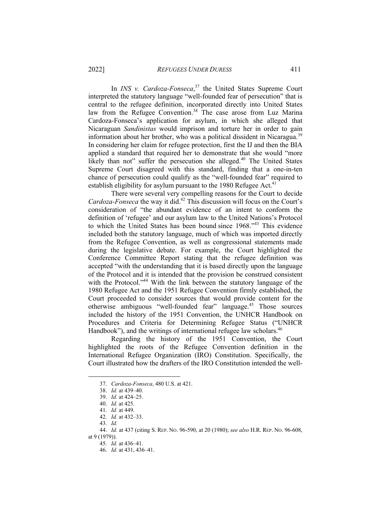In *INS v. Cardoza-Fonseca*, <sup>37</sup> the United States Supreme Court interpreted the statutory language "well-founded fear of persecution" that is central to the refugee definition, incorporated directly into United States law from the Refugee Convention.<sup>38</sup> The case arose from Luz Marina Cardoza-Fonseca's application for asylum, in which she alleged that Nicaraguan *Sandinistas* would imprison and torture her in order to gain information about her brother, who was a political dissident in Nicaragua.<sup>39</sup> In considering her claim for refugee protection, first the IJ and then the BIA applied a standard that required her to demonstrate that she would "more likely than not" suffer the persecution she alleged.<sup>40</sup> The United States Supreme Court disagreed with this standard, finding that a one-in-ten chance of persecution could qualify as the "well-founded fear" required to establish eligibility for asylum pursuant to the 1980 Refugee Act.<sup>41</sup>

There were several very compelling reasons for the Court to decide *Cardoza-Fonseca* the way it did.<sup>42</sup> This discussion will focus on the Court's consideration of "the abundant evidence of an intent to conform the definition of 'refugee' and our asylum law to the United Nations's Protocol to which the United States has been bound since 1968."<sup>43</sup> This evidence included both the statutory language, much of which was imported directly from the Refugee Convention, as well as congressional statements made during the legislative debate. For example, the Court highlighted the Conference Committee Report stating that the refugee definition was accepted "with the understanding that it is based directly upon the language of the Protocol and it is intended that the provision be construed consistent with the Protocol."<sup>44</sup> With the link between the statutory language of the 1980 Refugee Act and the 1951 Refugee Convention firmly established, the Court proceeded to consider sources that would provide content for the otherwise ambiguous "well-founded fear" language.<sup>45</sup> Those sources included the history of the 1951 Convention, the UNHCR Handbook on Procedures and Criteria for Determining Refugee Status ("UNHCR Handbook"), and the writings of international refugee law scholars.<sup>46</sup>

Regarding the history of the 1951 Convention, the Court highlighted the roots of the Refugee Convention definition in the International Refugee Organization (IRO) Constitution. Specifically, the Court illustrated how the drafters of the IRO Constitution intended the well-

<sup>37.</sup> *Cardoza-Fonseca*, 480 U.S. at 421.

<sup>38.</sup> *Id.* at 439–40.

<sup>39.</sup> *Id.* at 424–25.

<sup>40.</sup> *Id.* at 425.

<sup>41.</sup> *Id.* at 449.

<sup>42.</sup> *Id.* at 432–33.

<sup>43.</sup> *Id.*

<sup>44.</sup> *Id.* at 437 (citing S. REP. NO. 96-590, at 20 (1980); *see also* H.R. REP. NO. 96-608, at 9 (1979)).

<sup>45.</sup> *Id.* at 436–41.

<sup>46.</sup> *Id.* at 431, 436–41.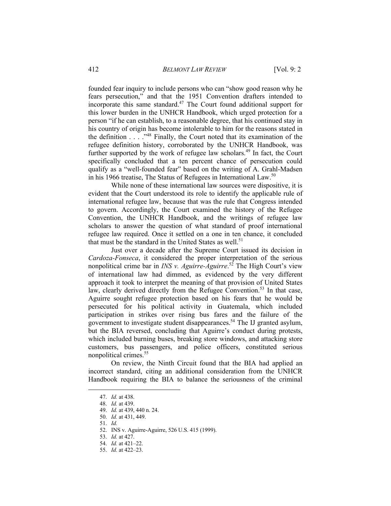founded fear inquiry to include persons who can "show good reason why he fears persecution," and that the 1951 Convention drafters intended to incorporate this same standard.<sup>47</sup> The Court found additional support for this lower burden in the UNHCR Handbook, which urged protection for a person "if he can establish, to a reasonable degree, that his continued stay in his country of origin has become intolerable to him for the reasons stated in the definition  $\ldots$  . .<sup>48</sup> Finally, the Court noted that its examination of the refugee definition history, corroborated by the UNHCR Handbook, was further supported by the work of refugee law scholars.<sup>49</sup> In fact, the Court specifically concluded that a ten percent chance of persecution could qualify as a "well-founded fear" based on the writing of A. Grahl-Madsen in his 1966 treatise, The Status of Refugees in International Law.<sup>50</sup>

While none of these international law sources were dispositive, it is evident that the Court understood its role to identify the applicable rule of international refugee law, because that was the rule that Congress intended to govern. Accordingly, the Court examined the history of the Refugee Convention, the UNHCR Handbook, and the writings of refugee law scholars to answer the question of what standard of proof international refugee law required. Once it settled on a one in ten chance, it concluded that must be the standard in the United States as well. $51$ 

Just over a decade after the Supreme Court issued its decision in *Cardoza-Fonseca*, it considered the proper interpretation of the serious nonpolitical crime bar in *INS v. Aguirre-Aguirre*. <sup>52</sup> The High Court's view of international law had dimmed, as evidenced by the very different approach it took to interpret the meaning of that provision of United States law, clearly derived directly from the Refugee Convention.<sup>53</sup> In that case, Aguirre sought refugee protection based on his fears that he would be persecuted for his political activity in Guatemala, which included participation in strikes over rising bus fares and the failure of the government to investigate student disappearances.<sup>54</sup> The IJ granted asylum, but the BIA reversed, concluding that Aguirre's conduct during protests, which included burning buses, breaking store windows, and attacking store customers, bus passengers, and police officers, constituted serious nonpolitical crimes.55

On review, the Ninth Circuit found that the BIA had applied an incorrect standard, citing an additional consideration from the UNHCR Handbook requiring the BIA to balance the seriousness of the criminal

- 50. *Id.* at 431, 449.
- 51. *Id.*

<sup>47.</sup> *Id.* at 438.

<sup>48.</sup> *Id.* at 439.

<sup>49.</sup> *Id.* at 439, 440 n. 24.

<sup>52.</sup> INS v. Aguirre-Aguirre, 526 U.S. 415 (1999).

<sup>53.</sup> *Id.* at 427.

<sup>54.</sup> *Id.* at 421–22.

<sup>55.</sup> *Id.* at 422–23.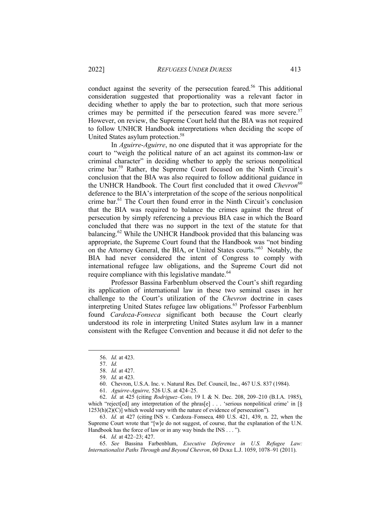conduct against the severity of the persecution feared.<sup>56</sup> This additional consideration suggested that proportionality was a relevant factor in deciding whether to apply the bar to protection, such that more serious crimes may be permitted if the persecution feared was more severe.<sup>57</sup> However, on review, the Supreme Court held that the BIA was not required to follow UNHCR Handbook interpretations when deciding the scope of United States asylum protection.<sup>58</sup>

In *Aguirre*-*Aguirre*, no one disputed that it was appropriate for the court to "weigh the political nature of an act against its common-law or criminal character" in deciding whether to apply the serious nonpolitical crime bar.59 Rather, the Supreme Court focused on the Ninth Circuit's conclusion that the BIA was also required to follow additional guidance in the UNHCR Handbook. The Court first concluded that it owed *Chevron*<sup>60</sup> deference to the BIA's interpretation of the scope of the serious nonpolitical crime bar.61 The Court then found error in the Ninth Circuit's conclusion that the BIA was required to balance the crimes against the threat of persecution by simply referencing a previous BIA case in which the Board concluded that there was no support in the text of the statute for that balancing.<sup>62</sup> While the UNHCR Handbook provided that this balancing was appropriate, the Supreme Court found that the Handbook was "not binding on the Attorney General, the BIA, or United States courts."63 Notably, the BIA had never considered the intent of Congress to comply with international refugee law obligations, and the Supreme Court did not require compliance with this legislative mandate.<sup>64</sup>

Professor Bassina Farbenblum observed the Court's shift regarding its application of international law in these two seminal cases in her challenge to the Court's utilization of the *Chevron* doctrine in cases interpreting United States refugee law obligations.<sup>65</sup> Professor Farbenblum found *Cardoza-Fonseca* significant both because the Court clearly understood its role in interpreting United States asylum law in a manner consistent with the Refugee Convention and because it did not defer to the

60. Chevron, U.S.A. Inc. v. Natural Res. Def. Council, Inc., 467 U.S. 837 (1984).

63. *Id.* at 427 (citing INS v. Cardoza–Fonseca*,* 480 U.S. 421, 439, n. 22, when the Supreme Court wrote that "[w]e do not suggest, of course, that the explanation of the U.N. Handbook has the force of law or in any way binds the INS . . . ").

64. *Id.* at 422–23; 427.

65. *See* Bassina Farbenblum, *Executive Deference in U.S. Refugee Law: Internationalist Paths Through and Beyond Chevron*, 60 Duke L.J. 1059, 1078–91 (2011).

<sup>56.</sup> *Id.* at 423.

<sup>57.</sup> *Id.*

<sup>58.</sup> *Id.* at 427.

<sup>59.</sup> *Id.* at 423.

<sup>61.</sup> *Aguirre-Aguirre,* 526 U.S. at 424–25.

<sup>62.</sup> *Id.* at 425 (citing *Rodriguez–Coto,* 19 I. & N. Dec. 208, 209–210 (B.I.A. 1985), which "reject[ed] any interpretation of the phras[e] . . . 'serious nonpolitical crime' in [§ 1253(h)(2)(C)] which would vary with the nature of evidence of persecution").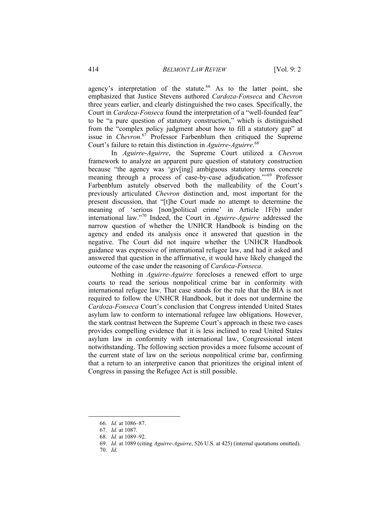agency's interpretation of the statute.<sup>66</sup> As to the latter point, she emphasized that Justice Stevens authored *Cardoza-Fonseca* and *Chevron* three years earlier, and clearly distinguished the two cases. Specifically, the Court in *Cardoza-Fonseca* found the interpretation of a "well-founded fear" to be "a pure question of statutory construction," which is distinguished from the "complex policy judgment about how to fill a statutory gap" at issue in *Chevron*. <sup>67</sup> Professor Farbenblum then critiqued the Supreme Court's failure to retain this distinction in *Aguirre-Aguirre*. 68

In *Aguirre*-*Aguirre*, the Supreme Court utilized a *Chevron* framework to analyze an apparent pure question of statutory construction because "the agency was 'giv[ing] ambiguous statutory terms concrete meaning through a process of case-by-case adjudication."<sup>69</sup> Professor Farbenblum astutely observed both the malleability of the Court's previously articulated *Chevron* distinction and, most important for the present discussion, that "[t]he Court made no attempt to determine the meaning of 'serious [non]political crime' in Article 1F(b) under international law."<sup>70</sup> Indeed, the Court in *Aguirre-Aguirre* addressed the narrow question of whether the UNHCR Handbook is binding on the agency and ended its analysis once it answered that question in the negative. The Court did not inquire whether the UNHCR Handbook guidance was expressive of international refugee law, and had it asked and answered that question in the affirmative, it would have likely changed the outcome of the case under the reasoning of *Cardoza-Fonseca*.

Nothing in *Aguirre-Aguirre* forecloses a renewed effort to urge courts to read the serious nonpolitical crime bar in conformity with international refugee law. That case stands for the rule that the BIA is not required to follow the UNHCR Handbook, but it does not undermine the *Cardoza-Fonseca* Court's conclusion that Congress intended United States asylum law to conform to international refugee law obligations. However, the stark contrast between the Supreme Court's approach in these two cases provides compelling evidence that it is less inclined to read United States asylum law in conformity with international law, Congressional intent notwithstanding. The following section provides a more fulsome account of the current state of law on the serious nonpolitical crime bar, confirming that a return to an interpretive canon that prioritizes the original intent of Congress in passing the Refugee Act is still possible.

<sup>66.</sup> *Id.* at 1086–87.

<sup>67.</sup> *Id.* at 1087.

<sup>68.</sup> *Id.* at 1089–92.

<sup>69.</sup> *Id.* at 1089 (citing *Aguirre-Aguirre*, 526 U.S. at 425) (internal quotations omitted).

<sup>70.</sup> *Id.*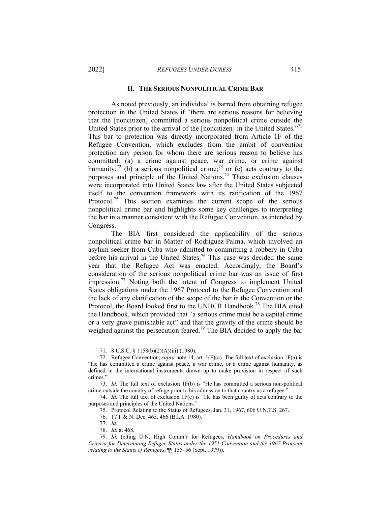#### **II. THE SERIOUS NONPOLITICAL CRIME BAR**

As noted previously, an individual is barred from obtaining refugee protection in the United States if "there are serious reasons for believing that the [noncitizen] committed a serious nonpolitical crime outside the United States prior to the arrival of the [noncitizen] in the United States."<sup>71</sup> This bar to protection was directly incorporated from Article 1F of the Refugee Convention, which excludes from the ambit of convention protection any person for whom there are serious reason to believe has committed: (a) a crime against peace, war crime, or crime against humanity;<sup>72</sup> (b) a serious nonpolitical crime;<sup>73</sup> or (c) acts contrary to the purposes and principle of the United Nations.<sup>74</sup> These exclusion clauses were incorporated into United States law after the United States subjected itself to the convention framework with its ratification of the 1967 Protocol.<sup>75</sup> This section examines the current scope of the serious nonpolitical crime bar and highlights some key challenges to interpreting the bar in a manner consistent with the Refugee Convention, as intended by Congress.

The BIA first considered the applicability of the serious nonpolitical crime bar in Matter of Rodriguez-Palma, which involved an asylum seeker from Cuba who admitted to committing a robbery in Cuba before his arrival in the United States.<sup>76</sup> This case was decided the same year that the Refugee Act was enacted. Accordingly, the Board's consideration of the serious nonpolitical crime bar was an issue of first impression.<sup>77</sup> Noting both the intent of Congress to implement United States obligations under the 1967 Protocol to the Refugee Convention and the lack of any clarification of the scope of the bar in the Convention or the Protocol, the Board looked first to the UNHCR Handbook.78 The BIA cited the Handbook, which provided that "a serious crime must be a capital crime or a very grave punishable act" and that the gravity of the crime should be weighed against the persecution feared.<sup>79</sup> The BIA decided to apply the bar

<sup>71.</sup> 8 U.S.C. § 1158(b)(2)(A)(iii) (1980).

<sup>72.</sup> Refugee Convention, *supra* note 14, art. 1(F)(a). The full text of exclusion 1F(a) is "He has committed a crime against peace, a war crime, or a crime against humanity, as defined in the international instruments drawn up to make provision in respect of such crimes."

<sup>73.</sup> *Id.* The full text of exclusion 1F(b) is "He has committed a serious non-political crime outside the country of refuge prior to his admission to that country as a refugee."

<sup>74.</sup> *Id.* The full text of exclusion 1F(c) is "He has been guilty of acts contrary to the purposes and principles of the United Nations."

<sup>75.</sup> Protocol Relating to the Status of Refugees, Jan. 31, 1967, 606 U.N.T.S. 267.

<sup>76.</sup> 17 I. & N. Dec. 465, 466 (B.I.A. 1980).

<sup>77.</sup> *Id.*

<sup>78.</sup> *Id.* at 468.

<sup>79.</sup> *Id.* (citing U.N. High Comm'r for Refugees, *Handbook on Procedures and Criteria for Determining Refugee Status under the 1951 Convention and the 1967 Protocol relating to the Status of Refugees*, ¶¶ 155–56 (Sept. 1979)).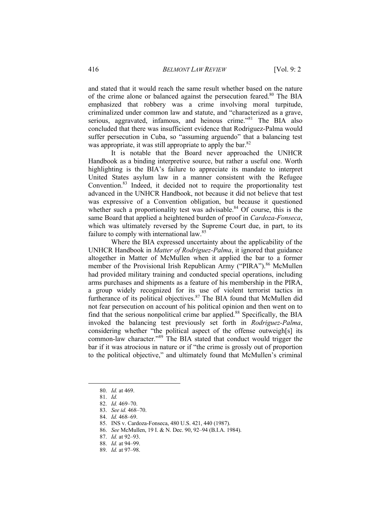and stated that it would reach the same result whether based on the nature of the crime alone or balanced against the persecution feared.<sup>80</sup> The BIA emphasized that robbery was a crime involving moral turpitude, criminalized under common law and statute, and "characterized as a grave, serious, aggravated, infamous, and heinous crime."<sup>81</sup> The BIA also concluded that there was insufficient evidence that Rodriguez-Palma would suffer persecution in Cuba, so "assuming arguendo" that a balancing test was appropriate, it was still appropriate to apply the bar.<sup>82</sup>

It is notable that the Board never approached the UNHCR Handbook as a binding interpretive source, but rather a useful one. Worth highlighting is the BIA's failure to appreciate its mandate to interpret United States asylum law in a manner consistent with the Refugee Convention.83 Indeed, it decided not to require the proportionality test advanced in the UNHCR Handbook, not because it did not believe that test was expressive of a Convention obligation, but because it questioned whether such a proportionality test was advisable. $84$  Of course, this is the same Board that applied a heightened burden of proof in *Cardoza-Fonseca*, which was ultimately reversed by the Supreme Court due, in part, to its failure to comply with international law.<sup>85</sup>

Where the BIA expressed uncertainty about the applicability of the UNHCR Handbook in *Matter of Rodriguez-Palma*, it ignored that guidance altogether in Matter of McMullen when it applied the bar to a former member of the Provisional Irish Republican Army ("PIRA").<sup>86</sup> McMullen had provided military training and conducted special operations, including arms purchases and shipments as a feature of his membership in the PIRA, a group widely recognized for its use of violent terrorist tactics in furtherance of its political objectives.<sup>87</sup> The BIA found that McMullen did not fear persecution on account of his political opinion and then went on to find that the serious nonpolitical crime bar applied.<sup>88</sup> Specifically, the BIA invoked the balancing test previously set forth in *Rodriguez-Palma*, considering whether "the political aspect of the offense outweigh[s] its common-law character."<sup>89</sup> The BIA stated that conduct would trigger the bar if it was atrocious in nature or if "the crime is grossly out of proportion to the political objective," and ultimately found that McMullen's criminal

<sup>80.</sup> *Id.* at 469.

<sup>81.</sup> *Id.* 

<sup>82.</sup> *Id.* 469–70.

<sup>83.</sup> *See id.* 468–70.

<sup>84.</sup> *Id.* 468–69.

<sup>85.</sup> INS v. Cardoza-Fonseca, 480 U.S. 421, 440 (1987).

<sup>86.</sup> *See* McMullen, 19 I. & N. Dec. 90, 92–94 (B.I.A. 1984).

<sup>87.</sup> *Id.* at 92–93.

<sup>88.</sup> *Id.* at 94–99.

<sup>89.</sup> *Id.* at 97–98.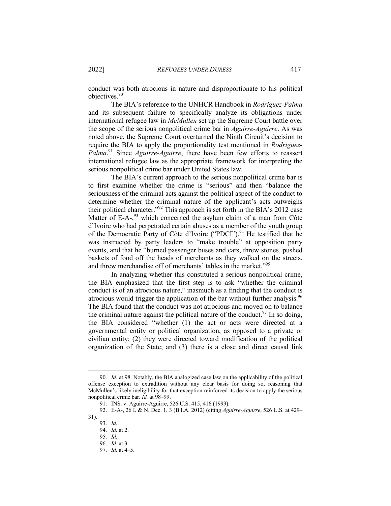conduct was both atrocious in nature and disproportionate to his political objectives.<sup>90</sup>

The BIA's reference to the UNHCR Handbook in *Rodriguez-Palma* and its subsequent failure to specifically analyze its obligations under international refugee law in *McMullen* set up the Supreme Court battle over the scope of the serious nonpolitical crime bar in *Aguirre-Aguirre*. As was noted above, the Supreme Court overturned the Ninth Circuit's decision to require the BIA to apply the proportionality test mentioned in *Rodriguez-Palma*. <sup>91</sup> Since *Aguirre-Aguirre*, there have been few efforts to reassert international refugee law as the appropriate framework for interpreting the serious nonpolitical crime bar under United States law.

The BIA's current approach to the serious nonpolitical crime bar is to first examine whether the crime is "serious" and then "balance the seriousness of the criminal acts against the political aspect of the conduct to determine whether the criminal nature of the applicant's acts outweighs their political character."92 This approach is set forth in the BIA's 2012 case Matter of E-A-,<sup>93</sup> which concerned the asylum claim of a man from Côte d'Ivoire who had perpetrated certain abuses as a member of the youth group of the Democratic Party of Côte d'Ivoire ("PDCI").<sup>94</sup> He testified that he was instructed by party leaders to "make trouble" at opposition party events, and that he "burned passenger buses and cars, threw stones, pushed baskets of food off the heads of merchants as they walked on the streets, and threw merchandise off of merchants' tables in the market."<sup>95</sup>

In analyzing whether this constituted a serious nonpolitical crime, the BIA emphasized that the first step is to ask "whether the criminal conduct is of an atrocious nature," inasmuch as a finding that the conduct is atrocious would trigger the application of the bar without further analysis.96 The BIA found that the conduct was not atrocious and moved on to balance the criminal nature against the political nature of the conduct.<sup>97</sup> In so doing, the BIA considered "whether (1) the act or acts were directed at a governmental entity or political organization, as opposed to a private or civilian entity; (2) they were directed toward modification of the political organization of the State; and (3) there is a close and direct causal link

<sup>90.</sup> *Id.* at 98. Notably, the BIA analogized case law on the applicability of the political offense exception to extradition without any clear basis for doing so, reasoning that McMullen's likely ineligibility for that exception reinforced its decision to apply the serious nonpolitical crime bar. *Id.* at 98–99.

<sup>91.</sup> INS. v. Aguirre-Aguirre, 526 U.S. 415, 416 (1999).

<sup>92.</sup> E-A-, 26 I. & N. Dec. 1, 3 (B.I.A. 2012) (citing *Aguirre-Aguirre*, 526 U.S. at 429– 31).

<sup>93.</sup> *Id.*

<sup>94.</sup> *Id.* at 2.

<sup>95.</sup> *Id.*

<sup>96.</sup> *Id.* at 3.

<sup>97.</sup> *Id.* at 4–5.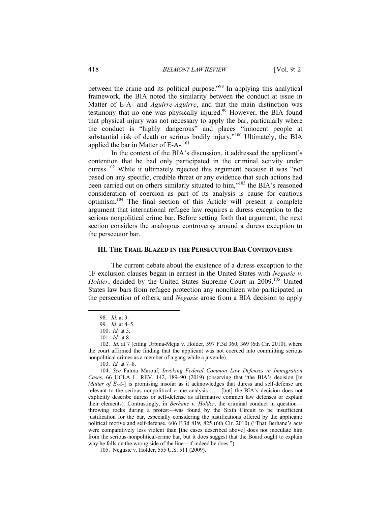between the crime and its political purpose."98 In applying this analytical framework, the BIA noted the similarity between the conduct at issue in Matter of E-A- and *Aguirre-Aguirre*, and that the main distinction was testimony that no one was physically injured.<sup>99</sup> However, the BIA found that physical injury was not necessary to apply the bar, particularly where the conduct is "highly dangerous" and places "innocent people at substantial risk of death or serious bodily injury."<sup>100</sup> Ultimately, the BIA applied the bar in Matter of E-A-.<sup>101</sup>

In the context of the BIA's discussion, it addressed the applicant's contention that he had only participated in the criminal activity under duress.<sup>102</sup> While it ultimately rejected this argument because it was "not based on any specific, credible threat or any evidence that such actions had been carried out on others similarly situated to him,"<sup>103</sup> the BIA's reasoned consideration of coercion as part of its analysis is cause for cautious optimism.<sup>104</sup> The final section of this Article will present a complete argument that international refugee law requires a duress exception to the serious nonpolitical crime bar. Before setting forth that argument, the next section considers the analogous controversy around a duress exception to the persecutor bar.

#### **III. THE TRAIL BLAZED IN THE PERSECUTOR BAR CONTROVERSY**

The current debate about the existence of a duress exception to the 1F exclusion clauses began in earnest in the United States with *Negusie v. Holder*, decided by the United States Supreme Court in 2009.<sup>105</sup> United States law bars from refugee protection any noncitizen who participated in the persecution of others, and *Negusie* arose from a BIA decision to apply

<sup>98.</sup> *Id.* at 3.

<sup>99.</sup> *Id.* at 4–5.

<sup>100.</sup> *Id.* at 5.

<sup>101.</sup> *Id.* at 8.

<sup>102.</sup> *Id.* at 7 (citing Urbina-Mejia v. Holder, 597 F.3d 360, 369 (6th Cir. 2010), where the court affirmed the finding that the applicant was not coerced into committing serious nonpolitical crimes as a member of a gang while a juvenile).

<sup>103.</sup> *Id.* at 7–8.

<sup>104.</sup> *See* Fatma Marouf, *Invoking Federal Common Law Defenses in Immigration Cases*, 66 UCLA L. REV. 142, 189–90 (2019) (observing that "the BIA's decision [in *Matter of E-A*-] is promising insofar as it acknowledges that duress and self-defense are relevant to the serious nonpolitical crime analysis . . . [but] the BIA's decision does not explicitly describe duress or self-defense as affirmative common law defenses or explain their elements). Contrastingly, in *Berhane v. Holder*, the criminal conduct in question throwing rocks during a protest—was found by the Sixth Circuit to be insufficient justification for the bar, especially considering the justifications offered by the applicant: political motive and self-defense. 606 F.3d 819, 825 (6th Cir. 2010) ("That Berhane's acts were comparatively less violent than [the cases described above] does not inoculate him from the serious-nonpolitical-crime bar, but it does suggest that the Board ought to explain why he falls on the wrong side of the line—if indeed he does.").

<sup>105.</sup> Negusie v. Holder, 555 U.S. 511 (2009).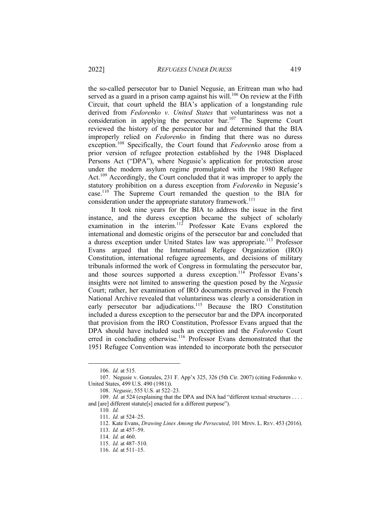the so-called persecutor bar to Daniel Negusie, an Eritrean man who had served as a guard in a prison camp against his will.<sup>106</sup> On review at the Fifth Circuit, that court upheld the BIA's application of a longstanding rule derived from *Fedorenko v. United States* that voluntariness was not a consideration in applying the persecutor bar.107 The Supreme Court reviewed the history of the persecutor bar and determined that the BIA improperly relied on *Fedorenko* in finding that there was no duress exception.<sup>108</sup> Specifically, the Court found that *Fedorenko* arose from a prior version of refugee protection established by the 1948 Displaced Persons Act ("DPA"), where Negusie's application for protection arose under the modern asylum regime promulgated with the 1980 Refugee Act.<sup>109</sup> Accordingly, the Court concluded that it was improper to apply the statutory prohibition on a duress exception from *Fedorenko* in Negusie's case.110 The Supreme Court remanded the question to the BIA for consideration under the appropriate statutory framework.<sup>111</sup>

It took nine years for the BIA to address the issue in the first instance, and the duress exception became the subject of scholarly examination in the interim.<sup>112</sup> Professor Kate Evans explored the international and domestic origins of the persecutor bar and concluded that a duress exception under United States law was appropriate.<sup>113</sup> Professor Evans argued that the International Refugee Organization (IRO) Constitution, international refugee agreements, and decisions of military tribunals informed the work of Congress in formulating the persecutor bar, and those sources supported a duress exception.<sup>114</sup> Professor Evans's insights were not limited to answering the question posed by the *Negusie* Court; rather, her examination of IRO documents preserved in the French National Archive revealed that voluntariness was clearly a consideration in early persecutor bar adjudications.<sup>115</sup> Because the IRO Constitution included a duress exception to the persecutor bar and the DPA incorporated that provision from the IRO Constitution, Professor Evans argued that the DPA should have included such an exception and the *Fedorenko* Court erred in concluding otherwise.<sup>116</sup> Professor Evans demonstrated that the 1951 Refugee Convention was intended to incorporate both the persecutor

<sup>106.</sup> *Id.* at 515.

<sup>107.</sup> Negusie v. Gonzales, 231 F. App'x 325, 326 (5th Cir. 2007) (citing Fedorenko v. United States, 499 U.S. 490 (1981)).

<sup>108.</sup> *Negusie*, 555 U.S. at 522–23.

<sup>109.</sup> *Id.* at 524 (explaining that the DPA and INA had "different textual structures . . . . and [are] different statute[s] enacted for a different purpose").

<sup>110</sup>*. Id.*

<sup>111.</sup> *Id.* at 524–25.

<sup>112.</sup> Kate Evans, *Drawing Lines Among the Persecuted*, 101 MINN. L. REV. 453 (2016).

<sup>113.</sup> *Id.* at 457–59.

<sup>114.</sup> *Id.* at 460.

<sup>115.</sup> *Id.* at 487–510.

<sup>116.</sup> *Id.* at 511–15.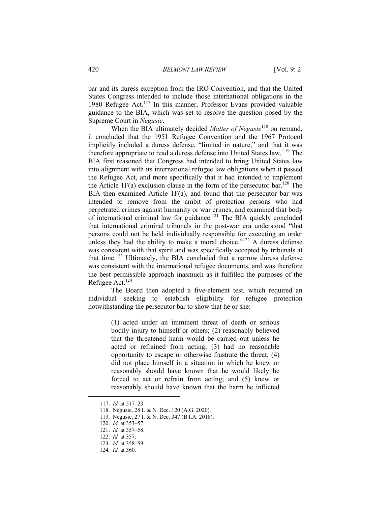bar and its duress exception from the IRO Convention, and that the United States Congress intended to include those international obligations in the 1980 Refugee Act.<sup>117</sup> In this manner, Professor Evans provided valuable guidance to the BIA, which was set to resolve the question posed by the Supreme Court in *Negusie*.

When the BIA ultimately decided *Matter of Negusie*<sup>118</sup> on remand, it concluded that the 1951 Refugee Convention and the 1967 Protocol implicitly included a duress defense, "limited in nature," and that it was therefore appropriate to read a duress defense into United States law. <sup>119</sup> The BIA first reasoned that Congress had intended to bring United States law into alignment with its international refugee law obligations when it passed the Refugee Act, and more specifically that it had intended to implement the Article 1F(a) exclusion clause in the form of the persecutor bar.<sup>120</sup> The BIA then examined Article  $1F(a)$ , and found that the persecutor bar was intended to remove from the ambit of protection persons who had perpetrated crimes against humanity or war crimes, and examined that body of international criminal law for guidance.<sup>121</sup> The BIA quickly concluded that international criminal tribunals in the post-war era understood "that persons could not be held individually responsible for executing an order unless they had the ability to make a moral choice." $122$  A duress defense was consistent with that spirit and was specifically accepted by tribunals at that time.123 Ultimately, the BIA concluded that a narrow duress defense was consistent with the international refugee documents, and was therefore the best permissible approach inasmuch as it fulfilled the purposes of the Refugee Act.<sup>124</sup>

The Board then adopted a five-element test, which required an individual seeking to establish eligibility for refugee protection notwithstanding the persecutor bar to show that he or she:

> (1) acted under an imminent threat of death or serious bodily injury to himself or others; (2) reasonably believed that the threatened harm would be carried out unless he acted or refrained from acting; (3) had no reasonable opportunity to escape or otherwise frustrate the threat; (4) did not place himself in a situation in which he knew or reasonably should have known that he would likely be forced to act or refrain from acting; and (5) knew or reasonably should have known that the harm he inflicted

<sup>117.</sup> *Id.* at 517–23.

<sup>118.</sup> Negusie, 28 I. & N. Dec. 120 (A.G. 2020).

<sup>119.</sup> Negusie, 27 I. & N. Dec. 347 (B.I.A. 2018).

<sup>120.</sup> *Id.* at 353–57.

<sup>121.</sup> *Id.* at 357–58.

<sup>122.</sup> *Id.* at 357.

<sup>123.</sup> *Id.* at 358–59.

<sup>124</sup>*. Id.* at 360.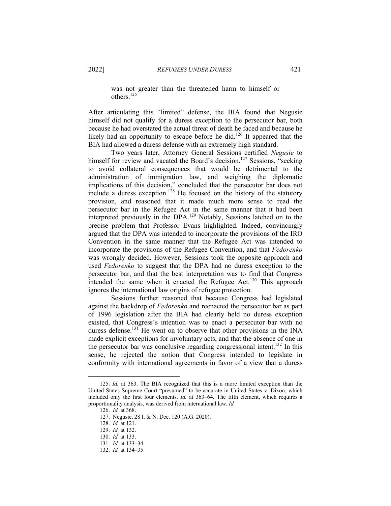was not greater than the threatened harm to himself or others.125

After articulating this "limited" defense, the BIA found that Negusie himself did not qualify for a duress exception to the persecutor bar, both because he had overstated the actual threat of death he faced and because he likely had an opportunity to escape before he did.<sup>126</sup> It appeared that the BIA had allowed a duress defense with an extremely high standard.

Two years later, Attorney General Sessions certified *Negusie* to himself for review and vacated the Board's decision.<sup>127</sup> Sessions, "seeking to avoid collateral consequences that would be detrimental to the administration of immigration law, and weighing the diplomatic implications of this decision," concluded that the persecutor bar does not include a duress exception.<sup>128</sup> He focused on the history of the statutory provision, and reasoned that it made much more sense to read the persecutor bar in the Refugee Act in the same manner that it had been interpreted previously in the DPA.<sup>129</sup> Notably, Sessions latched on to the precise problem that Professor Evans highlighted. Indeed, convincingly argued that the DPA was intended to incorporate the provisions of the IRO Convention in the same manner that the Refugee Act was intended to incorporate the provisions of the Refugee Convention, and that *Fedorenko* was wrongly decided. However, Sessions took the opposite approach and used *Fedorenko* to suggest that the DPA had no duress exception to the persecutor bar, and that the best interpretation was to find that Congress intended the same when it enacted the Refugee Act.<sup>130</sup> This approach ignores the international law origins of refugee protection.

Sessions further reasoned that because Congress had legislated against the backdrop of *Fedorenko* and reenacted the persecutor bar as part of 1996 legislation after the BIA had clearly held no duress exception existed, that Congress's intention was to enact a persecutor bar with no duress defense.<sup>131</sup> He went on to observe that other provisions in the INA made explicit exceptions for involuntary acts, and that the absence of one in the persecutor bar was conclusive regarding congressional intent.<sup>132</sup> In this sense, he rejected the notion that Congress intended to legislate in conformity with international agreements in favor of a view that a duress

<sup>125.</sup> *Id.* at 363. The BIA recognized that this is a more limited exception than the United States Supreme Court "presumed" to be accurate in United States v. Dixon, which included only the first four elements. *Id.* at 363–64. The fifth element, which requires a proportionality analysis, was derived from international law. *Id.*

<sup>126.</sup> *Id.* at 368.

<sup>127.</sup> Negusie, 28 I. & N. Dec. 120 (A.G. 2020).

<sup>128.</sup> *Id.* at 121.

<sup>129.</sup> *Id.* at 132.

<sup>130.</sup> *Id.* at 133.

<sup>131.</sup> *Id.* at 133–34.

<sup>132.</sup> *Id.* at 134–35.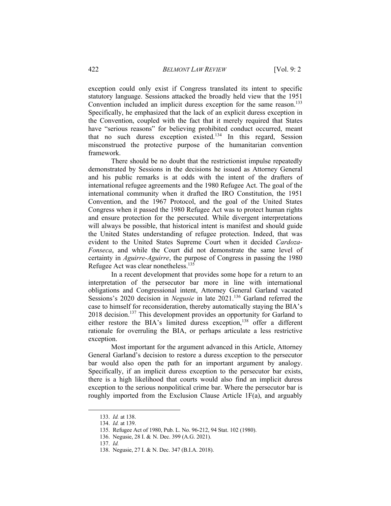exception could only exist if Congress translated its intent to specific statutory language. Sessions attacked the broadly held view that the 1951 Convention included an implicit duress exception for the same reason.<sup>133</sup> Specifically, he emphasized that the lack of an explicit duress exception in the Convention, coupled with the fact that it merely required that States have "serious reasons" for believing prohibited conduct occurred, meant that no such duress exception  $\tilde{e}$  risted.<sup>134</sup> In this regard, Session misconstrued the protective purpose of the humanitarian convention framework.

There should be no doubt that the restrictionist impulse repeatedly demonstrated by Sessions in the decisions he issued as Attorney General and his public remarks is at odds with the intent of the drafters of international refugee agreements and the 1980 Refugee Act. The goal of the international community when it drafted the IRO Constitution, the 1951 Convention, and the 1967 Protocol, and the goal of the United States Congress when it passed the 1980 Refugee Act was to protect human rights and ensure protection for the persecuted. While divergent interpretations will always be possible, that historical intent is manifest and should guide the United States understanding of refugee protection. Indeed, that was evident to the United States Supreme Court when it decided *Cardoza-Fonseca*, and while the Court did not demonstrate the same level of certainty in *Aguirre-Aguirre*, the purpose of Congress in passing the 1980 Refugee Act was clear nonetheless.<sup>135</sup>

In a recent development that provides some hope for a return to an interpretation of the persecutor bar more in line with international obligations and Congressional intent, Attorney General Garland vacated Sessions's 2020 decision in *Negusie* in late 2021.<sup>136</sup> Garland referred the case to himself for reconsideration, thereby automatically staying the BIA's 2018 decision.<sup>137</sup> This development provides an opportunity for Garland to either restore the BIA's limited duress exception,<sup>138</sup> offer a different rationale for overruling the BIA, or perhaps articulate a less restrictive exception.

Most important for the argument advanced in this Article, Attorney General Garland's decision to restore a duress exception to the persecutor bar would also open the path for an important argument by analogy. Specifically, if an implicit duress exception to the persecutor bar exists, there is a high likelihood that courts would also find an implicit duress exception to the serious nonpolitical crime bar. Where the persecutor bar is roughly imported from the Exclusion Clause Article 1F(a), and arguably

<sup>133.</sup> *Id.* at 138.

<sup>134.</sup> *Id.* at 139.

<sup>135.</sup> Refugee Act of 1980, Pub. L. No. 96-212, 94 Stat. 102 (1980).

<sup>136.</sup> Negusie, 28 I. & N. Dec. 399 (A.G. 2021).

<sup>137.</sup> *Id.*

<sup>138.</sup> Negusie, 27 I. & N. Dec. 347 (B.I.A. 2018).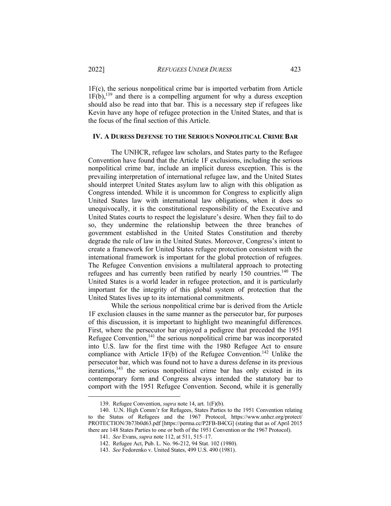1F(c), the serious nonpolitical crime bar is imported verbatim from Article  $1F(b)$ ,  $^{139}$  and there is a compelling argument for why a duress exception should also be read into that bar. This is a necessary step if refugees like Kevin have any hope of refugee protection in the United States, and that is the focus of the final section of this Article.

#### **IV. A DURESS DEFENSE TO THE SERIOUS NONPOLITICAL CRIME BAR**

The UNHCR, refugee law scholars, and States party to the Refugee Convention have found that the Article 1F exclusions, including the serious nonpolitical crime bar, include an implicit duress exception. This is the prevailing interpretation of international refugee law, and the United States should interpret United States asylum law to align with this obligation as Congress intended. While it is uncommon for Congress to explicitly align United States law with international law obligations, when it does so unequivocally, it is the constitutional responsibility of the Executive and United States courts to respect the legislature's desire. When they fail to do so, they undermine the relationship between the three branches of government established in the United States Constitution and thereby degrade the rule of law in the United States. Moreover, Congress's intent to create a framework for United States refugee protection consistent with the international framework is important for the global protection of refugees. The Refugee Convention envisions a multilateral approach to protecting refugees and has currently been ratified by nearly 150 countries.<sup>140</sup> The United States is a world leader in refugee protection, and it is particularly important for the integrity of this global system of protection that the United States lives up to its international commitments.

While the serious nonpolitical crime bar is derived from the Article 1F exclusion clauses in the same manner as the persecutor bar, for purposes of this discussion, it is important to highlight two meaningful differences. First, where the persecutor bar enjoyed a pedigree that preceded the 1951 Refugee Convention, $141$  the serious nonpolitical crime bar was incorporated into U.S. law for the first time with the 1980 Refugee Act to ensure compliance with Article 1F(b) of the Refugee Convention.<sup>142</sup> Unlike the persecutor bar, which was found not to have a duress defense in its previous iterations,<sup>143</sup> the serious nonpolitical crime bar has only existed in its contemporary form and Congress always intended the statutory bar to comport with the 1951 Refugee Convention. Second, while it is generally

<sup>139.</sup> Refugee Convention, *supra* note 14, art. 1(F)(b).

<sup>140.</sup> U.N. High Comm'r for Refugees, States Parties to the 1951 Convention relating to the Status of Refugees and the 1967 Protocol, https://www.unhcr.org/protect/ PROTECTION/3b73b0d63.pdf [https://perma.cc/P2FB-B4CG] (stating that as of April 2015 there are 148 States Parties to one or both of the 1951 Convention or the 1967 Protocol).

<sup>141.</sup> *See* Evans, *supra* note 112, at 511, 515–17.

<sup>142.</sup> Refugee Act, Pub. L. No. 96-212, 94 Stat. 102 (1980).

<sup>143.</sup> *See* Fedorenko v. United States, 499 U.S. 490 (1981).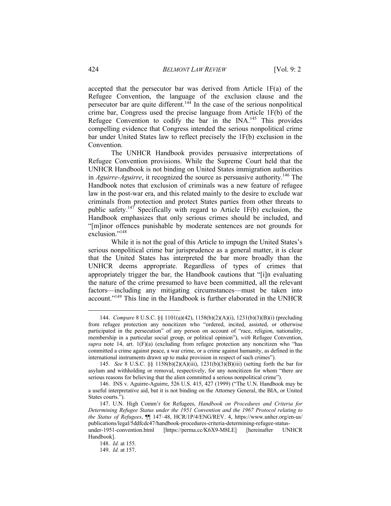accepted that the persecutor bar was derived from Article 1F(a) of the Refugee Convention, the language of the exclusion clause and the persecutor bar are quite different.<sup>144</sup> In the case of the serious nonpolitical crime bar, Congress used the precise language from Article 1F(b) of the Refugee Convention to codify the bar in the INA.<sup>145</sup> This provides compelling evidence that Congress intended the serious nonpolitical crime bar under United States law to reflect precisely the 1F(b) exclusion in the Convention.

The UNHCR Handbook provides persuasive interpretations of Refugee Convention provisions. While the Supreme Court held that the UNHCR Handbook is not binding on United States immigration authorities in *Aguirre-Aguirre*, it recognized the source as persuasive authority.<sup>146</sup> The Handbook notes that exclusion of criminals was a new feature of refugee law in the post-war era, and this related mainly to the desire to exclude war criminals from protection and protect States parties from other threats to public safety.<sup>147</sup> Specifically with regard to Article 1F(b) exclusion, the Handbook emphasizes that only serious crimes should be included, and "[m]inor offences punishable by moderate sentences are not grounds for exclusion."<sup>148</sup>

While it is not the goal of this Article to impugn the United States's serious nonpolitical crime bar jurisprudence as a general matter, it is clear that the United States has interpreted the bar more broadly than the UNHCR deems appropriate. Regardless of types of crimes that appropriately trigger the bar, the Handbook cautions that "[i]n evaluating the nature of the crime presumed to have been committed, all the relevant factors—including any mitigating circumstances—must be taken into account."149 This line in the Handbook is further elaborated in the UNHCR

<sup>144.</sup> *Compare* 8 U.S.C. §§ 1101(a)(42), 1158(b)(2)(A)(i), 1231(b)(3)(B)(i) (precluding from refugee protection any noncitizen who "ordered, incited, assisted, or otherwise participated in the persecution" of any person on account of "race, religion, nationality, membership in a particular social group, or political opinion"), *with* Refugee Convention, *supra* note 14, art.  $1(F)(a)$  (excluding from refugee protection any noncitizen who "has committed a crime against peace, a war crime, or a crime against humanity, as defined in the international instruments drawn up to make provision in respect of such crimes").

<sup>145.</sup> *See* 8 U.S.C. §§ 1158(b)(2)(A)(iii), 1231(b)(3)(B)(iii) (setting forth the bar for asylum and withholding or removal, respectively, for any noncitizen for whom "there are serious reasons for believing that the alien committed a serious nonpolitical crime").

<sup>146.</sup> INS v. Aguirre-Aguirre, 526 U.S. 415, 427 (1999) ("The U.N. Handbook may be a useful interpretative aid, but it is not binding on the Attorney General, the BIA, or United States courts.").

<sup>147.</sup> U.N. High Comm'r for Refugees, *Handbook on Procedures and Criteria for Determining Refugee Status under the 1951 Convention and the 1967 Protocol relating to the Status of Refugees*, ¶¶ 147–48, HCR/1P/4/ENG/REV. 4, https://www.unhcr.org/en-us/ publications/legal/5ddfcdc47/handbook-procedures-criteria-determining-refugee-statusunder-1951-convention.html [https://perma.cc/K6X9-M8LE] [hereinafter UNHCR Handbook].

<sup>148.</sup> *Id.* at 155.

<sup>149.</sup> *Id.* at 157.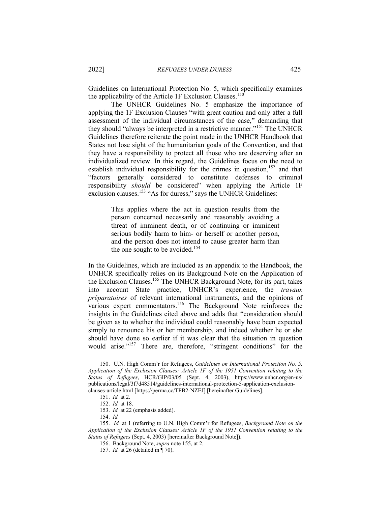Guidelines on International Protection No. 5, which specifically examines the applicability of the Article 1F Exclusion Clauses.<sup>150</sup>

The UNHCR Guidelines No. 5 emphasize the importance of applying the 1F Exclusion Clauses "with great caution and only after a full assessment of the individual circumstances of the case," demanding that they should "always be interpreted in a restrictive manner."<sup>151</sup> The UNHCR Guidelines therefore reiterate the point made in the UNHCR Handbook that States not lose sight of the humanitarian goals of the Convention, and that they have a responsibility to protect all those who are deserving after an individualized review. In this regard, the Guidelines focus on the need to establish individual responsibility for the crimes in question,<sup>152</sup> and that "factors generally considered to constitute defenses to criminal responsibility *should* be considered" when applying the Article 1F exclusion clauses.<sup>153</sup> "As for duress," says the UNHCR Guidelines:

> This applies where the act in question results from the person concerned necessarily and reasonably avoiding a threat of imminent death, or of continuing or imminent serious bodily harm to him- or herself or another person, and the person does not intend to cause greater harm than the one sought to be avoided.<sup>154</sup>

In the Guidelines, which are included as an appendix to the Handbook, the UNHCR specifically relies on its Background Note on the Application of the Exclusion Clauses.<sup>155</sup> The UNHCR Background Note, for its part, takes into account State practice, UNHCR's experience, the *travaux préparatoires* of relevant international instruments, and the opinions of various expert commentators.156 The Background Note reinforces the insights in the Guidelines cited above and adds that "consideration should be given as to whether the individual could reasonably have been expected simply to renounce his or her membership, and indeed whether he or she should have done so earlier if it was clear that the situation in question would arise."<sup>157</sup> There are, therefore, "stringent conditions" for the

<sup>150.</sup> U.N. High Comm'r for Refugees, *Guidelines on International Protection No. 5, Application of the Exclusion Clauses: Article 1F of the 1951 Convention relating to the Status of Refugees*, HCR/GIP/03/05 (Sept. 4, 2003), https://www.unhcr.org/en-us/ publications/legal/3f7d48514/guidelines-international-protection-5-application-exclusionclauses-article.html [https://perma.cc/TPB2-NZEJ] [hereinafter Guidelines].

<sup>151.</sup> *Id.* at 2.

<sup>152.</sup> *Id.* at 18.

<sup>153.</sup> *Id.* at 22 (emphasis added).

<sup>154.</sup> *Id.*

<sup>155.</sup> *Id.* at 1 (referring to U.N. High Comm'r for Refugees, *Background Note on the Application of the Exclusion Clauses: Article 1F of the 1951 Convention relating to the Status of Refugees* (Sept. 4, 2003) [hereinafter Background Note]).

<sup>156.</sup> Background Note, *supra* note 155, at 2.

<sup>157.</sup> *Id.* at 26 (detailed in ¶ 70).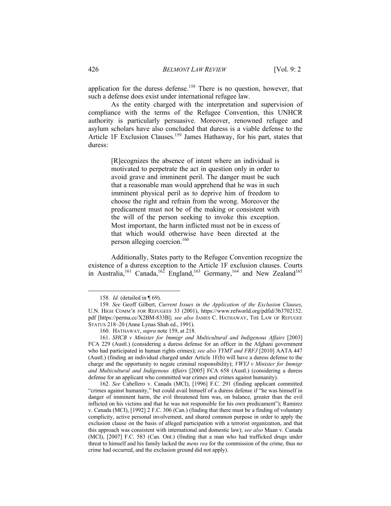application for the duress defense.<sup>158</sup> There is no question, however, that such a defense does exist under international refugee law.

As the entity charged with the interpretation and supervision of compliance with the terms of the Refugee Convention, this UNHCR authority is particularly persuasive. Moreover, renowned refugee and asylum scholars have also concluded that duress is a viable defense to the Article 1F Exclusion Clauses.<sup>159</sup> James Hathaway, for his part, states that duress:

> [R]ecognizes the absence of intent where an individual is motivated to perpetrate the act in question only in order to avoid grave and imminent peril. The danger must be such that a reasonable man would apprehend that he was in such imminent physical peril as to deprive him of freedom to choose the right and refrain from the wrong. Moreover the predicament must not be of the making or consistent with the will of the person seeking to invoke this exception. Most important, the harm inflicted must not be in excess of that which would otherwise have been directed at the person alleging coercion.160

Additionally, States party to the Refugee Convention recognize the existence of a duress exception to the Article 1F exclusion clauses. Courts in Australia,<sup>161</sup> Canada,<sup>162</sup> England,<sup>163</sup> Germany,<sup>164</sup> and New Zealand<sup>165</sup>

<sup>158.</sup> *Id.* (detailed in ¶ 69).

<sup>159.</sup> *See* Geoff Gilbert, *Current Issues in the Application of the Exclusion Clauses*, U.N. HIGH COMM'R FOR REFUGEES 33 (2001), https://www.refworld.org/pdfid/3b3702152. pdf [https://perma.cc/X2BM-833B]; *see also* JAMES C. HATHAWAY, THE LAW OF REFUGEE STATUS 218–20 (Anne Lynas Shah ed., 1991).

<sup>160.</sup> HATHAWAY, *supra* note 159, at 218.

<sup>161.</sup> *SHCB v Minister for Immigr and Multicultural and Indigenous Affairs* [2003] FCA 229 (Austl.) (considering a duress defense for an officer in the Afghani government who had participated in human rights crimes); *see also YYMT and FRFJ* [2010] AATA 447 (Austl.) (finding an individual charged under Article 1F(b) will have a duress defense to the charge and the opportunity to negate criminal responsibility); *VWYJ v Minister for Immigr and Multicultural and Indigenous Affairs* [2005] FCA 658 (Austl.) (considering a duress defense for an applicant who committed war crimes and crimes against humanity).

<sup>162.</sup> *See* Cabellero v. Canada (MCI), [1996] F.C. 291 (finding applicant committed "crimes against humanity," but could avail himself of a duress defense if "he was himself in danger of imminent harm, the evil threatened him was, on balance, greater than the evil inflicted on his victims and that he was not responsible for his own predicament"); Ramirez v. Canada (MCI), [1992] 2 F.C. 306 (Can.) (finding that there must be a finding of voluntary complicity, active personal involvement, and shared common purpose in order to apply the exclusion clause on the basis of alleged participation with a terrorist organization, and that this approach was consistent with international and domestic law); *see also* Maan v. Canada (MCI), [2007] F.C. 583 (Can. Ont.) (finding that a man who had trafficked drugs under threat to himself and his family lacked the *mens rea* for the commission of the crime, thus no crime had occurred, and the exclusion ground did not apply).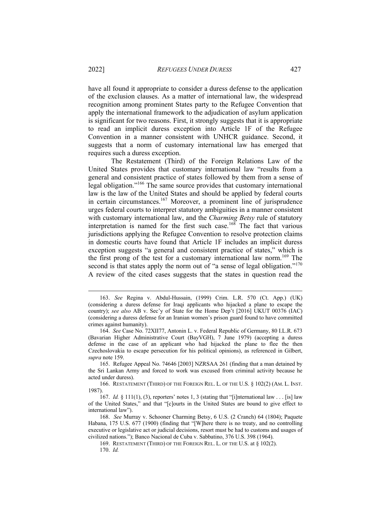have all found it appropriate to consider a duress defense to the application of the exclusion clauses. As a matter of international law, the widespread recognition among prominent States party to the Refugee Convention that apply the international framework to the adjudication of asylum application is significant for two reasons. First, it strongly suggests that it is appropriate to read an implicit duress exception into Article 1F of the Refugee Convention in a manner consistent with UNHCR guidance. Second, it suggests that a norm of customary international law has emerged that requires such a duress exception.

The Restatement (Third) of the Foreign Relations Law of the United States provides that customary international law "results from a general and consistent practice of states followed by them from a sense of legal obligation."<sup>166</sup> The same source provides that customary international law is the law of the United States and should be applied by federal courts in certain circumstances.<sup>167</sup> Moreover, a prominent line of jurisprudence urges federal courts to interpret statutory ambiguities in a manner consistent with customary international law, and the *Charming Betsy* rule of statutory interpretation is named for the first such case.<sup>168</sup> The fact that various jurisdictions applying the Refugee Convention to resolve protection claims in domestic courts have found that Article 1F includes an implicit duress exception suggests "a general and consistent practice of states," which is the first prong of the test for a customary international law norm.<sup>169</sup> The second is that states apply the norm out of "a sense of legal obligation."<sup>170</sup> A review of the cited cases suggests that the states in question read the

166. RESTATEMENT (THIRD) OF THE FOREIGN REL. L. OF THE U.S. § 102(2) (AM. L. INST. 1987).

<sup>163.</sup> *See* Regina v. Abdul-Hussain, (1999) Crim. L.R. 570 (Ct. App.) (UK) (considering a duress defense for Iraqi applicants who hijacked a plane to escape the country); *see also* AB v. Sec'y of State for the Home Dep't [2016] UKUT 00376 (IAC) (considering a duress defense for an Iranian women's prison guard found to have committed crimes against humanity).

<sup>164.</sup> *See* Case No. 72XII77, Antonin L. v. Federal Republic of Germany, 80 I.L.R. 673 (Bavarian Higher Administrative Court (BayVGH), 7 June 1979) (accepting a duress defense in the case of an applicant who had hijacked the plane to flee the then Czechoslovakia to escape persecution for his political opinions), as referenced in Gilbert, *supra* note 159.

<sup>165.</sup> Refugee Appeal No. 74646 [2003] NZRSAA 261 (finding that a man detained by the Sri Lankan Army and forced to work was excused from criminal activity because he acted under duress).

<sup>167.</sup> *Id.* § 111(1), (3), reporters' notes 1, 3 (stating that "[i]nternational law . . . [is] law of the United States," and that "[c]ourts in the United States are bound to give effect to international law").

<sup>168.</sup> *See* Murray v. Schooner Charming Betsy, 6 U.S. (2 Cranch) 64 (1804); Paquete Habana, 175 U.S. 677 (1900) (finding that "[W]here there is no treaty, and no controlling executive or legislative act or judicial decisions, resort must be had to customs and usages of civilized nations."); Banco Nacional de Cuba v. Sabbatino, 376 U.S. 398 (1964).

<sup>169.</sup> RESTATEMENT (THIRD) OF THE FOREIGN REL. L. OF THE U.S. at § 102(2). 170. *Id.*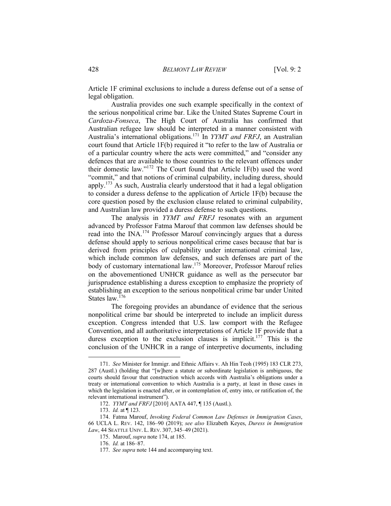Article 1F criminal exclusions to include a duress defense out of a sense of legal obligation.

Australia provides one such example specifically in the context of the serious nonpolitical crime bar. Like the United States Supreme Court in *Cardoza-Fonseca*, The High Court of Australia has confirmed that Australian refugee law should be interpreted in a manner consistent with Australia's international obligations.<sup>171</sup> In *YYMT and FRFJ*, an Australian court found that Article 1F(b) required it "to refer to the law of Australia or of a particular country where the acts were committed," and "consider any defences that are available to those countries to the relevant offences under their domestic law."172 The Court found that Article 1F(b) used the word "commit," and that notions of criminal culpability, including duress, should apply.173 As such, Australia clearly understood that it had a legal obligation to consider a duress defense to the application of Article 1F(b) because the core question posed by the exclusion clause related to criminal culpability, and Australian law provided a duress defense to such questions.

The analysis in *YYMT and FRFJ* resonates with an argument advanced by Professor Fatma Marouf that common law defenses should be read into the INA.<sup>174</sup> Professor Marouf convincingly argues that a duress defense should apply to serious nonpolitical crime cases because that bar is derived from principles of culpability under international criminal law, which include common law defenses, and such defenses are part of the body of customary international law.<sup>175</sup> Moreover, Professor Marouf relies on the abovementioned UNHCR guidance as well as the persecutor bar jurisprudence establishing a duress exception to emphasize the propriety of establishing an exception to the serious nonpolitical crime bar under United States law.<sup>176</sup>

The foregoing provides an abundance of evidence that the serious nonpolitical crime bar should be interpreted to include an implicit duress exception. Congress intended that U.S. law comport with the Refugee Convention, and all authoritative interpretations of Article 1F provide that a duress exception to the exclusion clauses is implicit.<sup>177</sup> This is the conclusion of the UNHCR in a range of interpretive documents, including

<sup>171.</sup> *See* Minister for Immigr. and Ethnic Affairs v. Ah Hin Teoh (1995) 183 CLR 273, 287 (Austl.) (holding that "[w]here a statute or subordinate legislation is ambiguous, the courts should favour that construction which accords with Australia's obligations under a treaty or international convention to which Australia is a party, at least in those cases in which the legislation is enacted after, or in contemplation of, entry into, or ratification of, the relevant international instrument").

<sup>172.</sup> *YYMT and FRFJ* [2010] AATA 447, ¶ 135 (Austl.).

<sup>173.</sup> *Id.* at ¶ 123.

<sup>174.</sup> Fatma Marouf, *Invoking Federal Common Law Defenses in Immigration Cases*, 66 UCLA L. REV. 142, 186–90 (2019); *see also* Elizabeth Keyes, *Duress in Immigration Law*, 44 SEATTLE UNIV. L. REV. 307, 345–49 (2021).

<sup>175.</sup> Marouf, *supra* note 174, at 185.

<sup>176.</sup> *Id.* at 186–87.

<sup>177.</sup> *See supra* note 144 and accompanying text.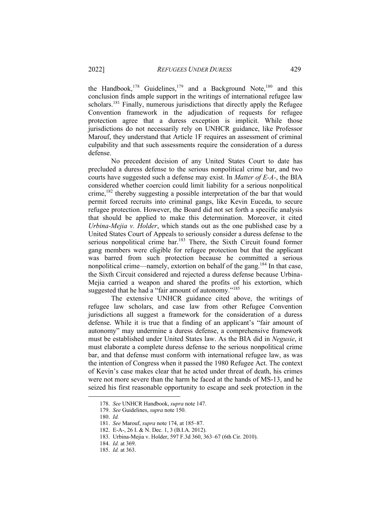the Handbook,<sup>178</sup> Guidelines,<sup>179</sup> and a Background Note,<sup>180</sup> and this conclusion finds ample support in the writings of international refugee law scholars.<sup>181</sup> Finally, numerous jurisdictions that directly apply the Refugee Convention framework in the adjudication of requests for refugee protection agree that a duress exception is implicit. While those jurisdictions do not necessarily rely on UNHCR guidance, like Professor Marouf, they understand that Article 1F requires an assessment of criminal culpability and that such assessments require the consideration of a duress defense.

No precedent decision of any United States Court to date has precluded a duress defense to the serious nonpolitical crime bar, and two courts have suggested such a defense may exist. In *Matter of E-A-*, the BIA considered whether coercion could limit liability for a serious nonpolitical crime,<sup>182</sup> thereby suggesting a possible interpretation of the bar that would permit forced recruits into criminal gangs, like Kevin Euceda, to secure refugee protection. However, the Board did not set forth a specific analysis that should be applied to make this determination. Moreover, it cited *Urbina-Mejia v. Holder*, which stands out as the one published case by a United States Court of Appeals to seriously consider a duress defense to the serious nonpolitical crime bar.<sup>183</sup> There, the Sixth Circuit found former gang members were eligible for refugee protection but that the applicant was barred from such protection because he committed a serious nonpolitical crime—namely, extortion on behalf of the gang.<sup>184</sup> In that case, the Sixth Circuit considered and rejected a duress defense because Urbina-Mejia carried a weapon and shared the profits of his extortion, which suggested that he had a "fair amount of autonomy."<sup>185</sup>

The extensive UNHCR guidance cited above, the writings of refugee law scholars, and case law from other Refugee Convention jurisdictions all suggest a framework for the consideration of a duress defense. While it is true that a finding of an applicant's "fair amount of autonomy" may undermine a duress defense, a comprehensive framework must be established under United States law. As the BIA did in *Negusie*, it must elaborate a complete duress defense to the serious nonpolitical crime bar, and that defense must conform with international refugee law, as was the intention of Congress when it passed the 1980 Refugee Act. The context of Kevin's case makes clear that he acted under threat of death, his crimes were not more severe than the harm he faced at the hands of MS-13, and he seized his first reasonable opportunity to escape and seek protection in the

<sup>178.</sup> *See* UNHCR Handbook, *supra* note 147.

<sup>179.</sup> *See* Guidelines, *supra* note 150.

<sup>180.</sup> *Id.*

<sup>181.</sup> *See* Marouf, *supra* note 174, at 185–87.

<sup>182.</sup> E-A-, 26 I. & N. Dec. 1, 3 (B.I.A. 2012).

<sup>183.</sup> Urbina-Mejia v. Holder, 597 F.3d 360, 363–67 (6th Cir. 2010).

<sup>184.</sup> *Id.* at 369.

<sup>185.</sup> *Id.* at 363.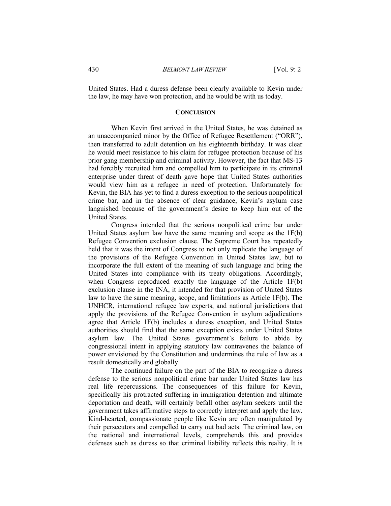United States. Had a duress defense been clearly available to Kevin under the law, he may have won protection, and he would be with us today.

#### **CONCLUSION**

When Kevin first arrived in the United States, he was detained as an unaccompanied minor by the Office of Refugee Resettlement ("ORR"), then transferred to adult detention on his eighteenth birthday. It was clear he would meet resistance to his claim for refugee protection because of his prior gang membership and criminal activity. However, the fact that MS-13 had forcibly recruited him and compelled him to participate in its criminal enterprise under threat of death gave hope that United States authorities would view him as a refugee in need of protection. Unfortunately for Kevin, the BIA has yet to find a duress exception to the serious nonpolitical crime bar, and in the absence of clear guidance, Kevin's asylum case languished because of the government's desire to keep him out of the United States.

Congress intended that the serious nonpolitical crime bar under United States asylum law have the same meaning and scope as the 1F(b) Refugee Convention exclusion clause. The Supreme Court has repeatedly held that it was the intent of Congress to not only replicate the language of the provisions of the Refugee Convention in United States law, but to incorporate the full extent of the meaning of such language and bring the United States into compliance with its treaty obligations. Accordingly, when Congress reproduced exactly the language of the Article 1F(b) exclusion clause in the INA, it intended for that provision of United States law to have the same meaning, scope, and limitations as Article 1F(b). The UNHCR, international refugee law experts, and national jurisdictions that apply the provisions of the Refugee Convention in asylum adjudications agree that Article 1F(b) includes a duress exception, and United States authorities should find that the same exception exists under United States asylum law. The United States government's failure to abide by congressional intent in applying statutory law contravenes the balance of power envisioned by the Constitution and undermines the rule of law as a result domestically and globally.

The continued failure on the part of the BIA to recognize a duress defense to the serious nonpolitical crime bar under United States law has real life repercussions. The consequences of this failure for Kevin, specifically his protracted suffering in immigration detention and ultimate deportation and death, will certainly befall other asylum seekers until the government takes affirmative steps to correctly interpret and apply the law. Kind-hearted, compassionate people like Kevin are often manipulated by their persecutors and compelled to carry out bad acts. The criminal law, on the national and international levels, comprehends this and provides defenses such as duress so that criminal liability reflects this reality. It is